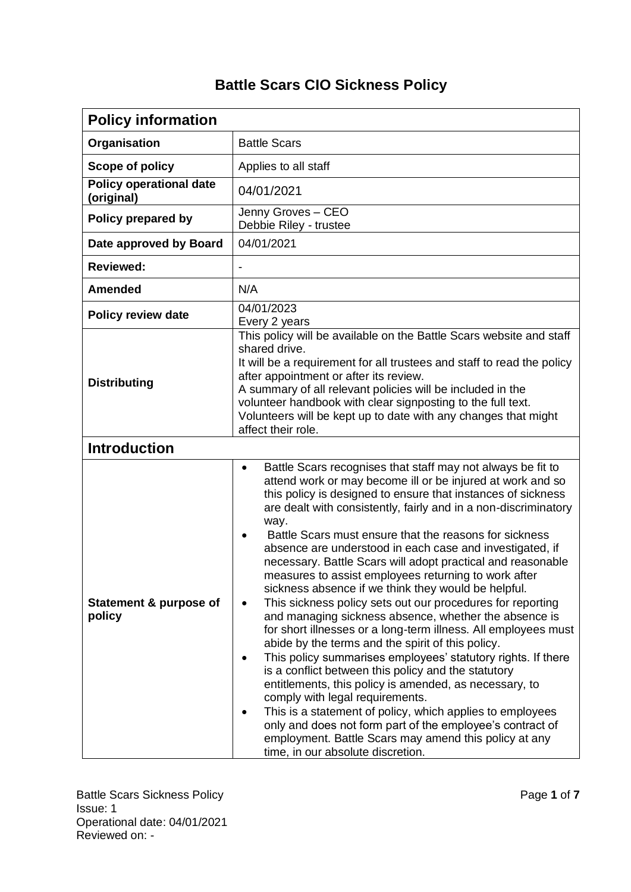## **Battle Scars CIO Sickness Policy**

| <b>Policy information</b>                    |                                                                                                                                                                                                                                                                                                                                                                                                                                                                                                                                                                                                                                                                                                                                                                                                                                                                                                                                                                                                                                                                                                                                                                                                                                                                                              |  |  |  |  |
|----------------------------------------------|----------------------------------------------------------------------------------------------------------------------------------------------------------------------------------------------------------------------------------------------------------------------------------------------------------------------------------------------------------------------------------------------------------------------------------------------------------------------------------------------------------------------------------------------------------------------------------------------------------------------------------------------------------------------------------------------------------------------------------------------------------------------------------------------------------------------------------------------------------------------------------------------------------------------------------------------------------------------------------------------------------------------------------------------------------------------------------------------------------------------------------------------------------------------------------------------------------------------------------------------------------------------------------------------|--|--|--|--|
| Organisation                                 | <b>Battle Scars</b>                                                                                                                                                                                                                                                                                                                                                                                                                                                                                                                                                                                                                                                                                                                                                                                                                                                                                                                                                                                                                                                                                                                                                                                                                                                                          |  |  |  |  |
| Scope of policy                              | Applies to all staff                                                                                                                                                                                                                                                                                                                                                                                                                                                                                                                                                                                                                                                                                                                                                                                                                                                                                                                                                                                                                                                                                                                                                                                                                                                                         |  |  |  |  |
| <b>Policy operational date</b><br>(original) | 04/01/2021                                                                                                                                                                                                                                                                                                                                                                                                                                                                                                                                                                                                                                                                                                                                                                                                                                                                                                                                                                                                                                                                                                                                                                                                                                                                                   |  |  |  |  |
| Policy prepared by                           | Jenny Groves - CEO<br>Debbie Riley - trustee                                                                                                                                                                                                                                                                                                                                                                                                                                                                                                                                                                                                                                                                                                                                                                                                                                                                                                                                                                                                                                                                                                                                                                                                                                                 |  |  |  |  |
| Date approved by Board                       | 04/01/2021                                                                                                                                                                                                                                                                                                                                                                                                                                                                                                                                                                                                                                                                                                                                                                                                                                                                                                                                                                                                                                                                                                                                                                                                                                                                                   |  |  |  |  |
| <b>Reviewed:</b>                             |                                                                                                                                                                                                                                                                                                                                                                                                                                                                                                                                                                                                                                                                                                                                                                                                                                                                                                                                                                                                                                                                                                                                                                                                                                                                                              |  |  |  |  |
| <b>Amended</b>                               | N/A                                                                                                                                                                                                                                                                                                                                                                                                                                                                                                                                                                                                                                                                                                                                                                                                                                                                                                                                                                                                                                                                                                                                                                                                                                                                                          |  |  |  |  |
| <b>Policy review date</b>                    | 04/01/2023<br>Every 2 years                                                                                                                                                                                                                                                                                                                                                                                                                                                                                                                                                                                                                                                                                                                                                                                                                                                                                                                                                                                                                                                                                                                                                                                                                                                                  |  |  |  |  |
| <b>Distributing</b>                          | This policy will be available on the Battle Scars website and staff<br>shared drive.<br>It will be a requirement for all trustees and staff to read the policy<br>after appointment or after its review.<br>A summary of all relevant policies will be included in the<br>volunteer handbook with clear signposting to the full text.<br>Volunteers will be kept up to date with any changes that might<br>affect their role.                                                                                                                                                                                                                                                                                                                                                                                                                                                                                                                                                                                                                                                                                                                                                                                                                                                                |  |  |  |  |
| <b>Introduction</b>                          |                                                                                                                                                                                                                                                                                                                                                                                                                                                                                                                                                                                                                                                                                                                                                                                                                                                                                                                                                                                                                                                                                                                                                                                                                                                                                              |  |  |  |  |
| Statement & purpose of<br>policy             | Battle Scars recognises that staff may not always be fit to<br>$\bullet$<br>attend work or may become ill or be injured at work and so<br>this policy is designed to ensure that instances of sickness<br>are dealt with consistently, fairly and in a non-discriminatory<br>way.<br>Battle Scars must ensure that the reasons for sickness<br>absence are understood in each case and investigated, if<br>necessary. Battle Scars will adopt practical and reasonable<br>measures to assist employees returning to work after<br>sickness absence if we think they would be helpful.<br>This sickness policy sets out our procedures for reporting<br>and managing sickness absence, whether the absence is<br>for short illnesses or a long-term illness. All employees must<br>abide by the terms and the spirit of this policy.<br>This policy summarises employees' statutory rights. If there<br>$\bullet$<br>is a conflict between this policy and the statutory<br>entitlements, this policy is amended, as necessary, to<br>comply with legal requirements.<br>This is a statement of policy, which applies to employees<br>only and does not form part of the employee's contract of<br>employment. Battle Scars may amend this policy at any<br>time, in our absolute discretion. |  |  |  |  |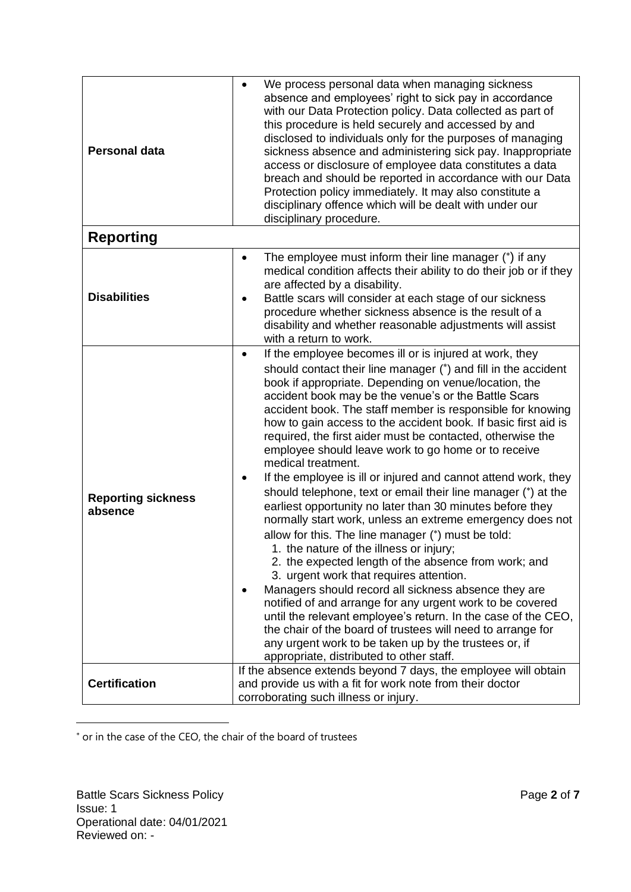| <b>Personal data</b>                 | We process personal data when managing sickness<br>$\bullet$<br>absence and employees' right to sick pay in accordance<br>with our Data Protection policy. Data collected as part of<br>this procedure is held securely and accessed by and<br>disclosed to individuals only for the purposes of managing<br>sickness absence and administering sick pay. Inappropriate<br>access or disclosure of employee data constitutes a data<br>breach and should be reported in accordance with our Data<br>Protection policy immediately. It may also constitute a<br>disciplinary offence which will be dealt with under our<br>disciplinary procedure.                                                                                                                                                                                                                                                                                                                                                                                                                                                                                                                                                                                                                                                                                                                          |  |  |  |
|--------------------------------------|----------------------------------------------------------------------------------------------------------------------------------------------------------------------------------------------------------------------------------------------------------------------------------------------------------------------------------------------------------------------------------------------------------------------------------------------------------------------------------------------------------------------------------------------------------------------------------------------------------------------------------------------------------------------------------------------------------------------------------------------------------------------------------------------------------------------------------------------------------------------------------------------------------------------------------------------------------------------------------------------------------------------------------------------------------------------------------------------------------------------------------------------------------------------------------------------------------------------------------------------------------------------------------------------------------------------------------------------------------------------------|--|--|--|
| <b>Reporting</b>                     |                                                                                                                                                                                                                                                                                                                                                                                                                                                                                                                                                                                                                                                                                                                                                                                                                                                                                                                                                                                                                                                                                                                                                                                                                                                                                                                                                                            |  |  |  |
| <b>Disabilities</b>                  | The employee must inform their line manager (*) if any<br>$\bullet$<br>medical condition affects their ability to do their job or if they<br>are affected by a disability.<br>Battle scars will consider at each stage of our sickness<br>$\bullet$<br>procedure whether sickness absence is the result of a<br>disability and whether reasonable adjustments will assist<br>with a return to work.                                                                                                                                                                                                                                                                                                                                                                                                                                                                                                                                                                                                                                                                                                                                                                                                                                                                                                                                                                        |  |  |  |
| <b>Reporting sickness</b><br>absence | If the employee becomes ill or is injured at work, they<br>$\bullet$<br>should contact their line manager (*) and fill in the accident<br>book if appropriate. Depending on venue/location, the<br>accident book may be the venue's or the Battle Scars<br>accident book. The staff member is responsible for knowing<br>how to gain access to the accident book. If basic first aid is<br>required, the first aider must be contacted, otherwise the<br>employee should leave work to go home or to receive<br>medical treatment.<br>If the employee is ill or injured and cannot attend work, they<br>$\bullet$<br>should telephone, text or email their line manager (*) at the<br>earliest opportunity no later than 30 minutes before they<br>normally start work, unless an extreme emergency does not<br>allow for this. The line manager (*) must be told:<br>1. the nature of the illness or injury;<br>2. the expected length of the absence from work; and<br>3. urgent work that requires attention.<br>Managers should record all sickness absence they are<br>notified of and arrange for any urgent work to be covered<br>until the relevant employee's return. In the case of the CEO,<br>the chair of the board of trustees will need to arrange for<br>any urgent work to be taken up by the trustees or, if<br>appropriate, distributed to other staff. |  |  |  |
| <b>Certification</b>                 | If the absence extends beyond 7 days, the employee will obtain<br>and provide us with a fit for work note from their doctor<br>corroborating such illness or injury.                                                                                                                                                                                                                                                                                                                                                                                                                                                                                                                                                                                                                                                                                                                                                                                                                                                                                                                                                                                                                                                                                                                                                                                                       |  |  |  |

or in the case of the CEO, the chair of the board of trustees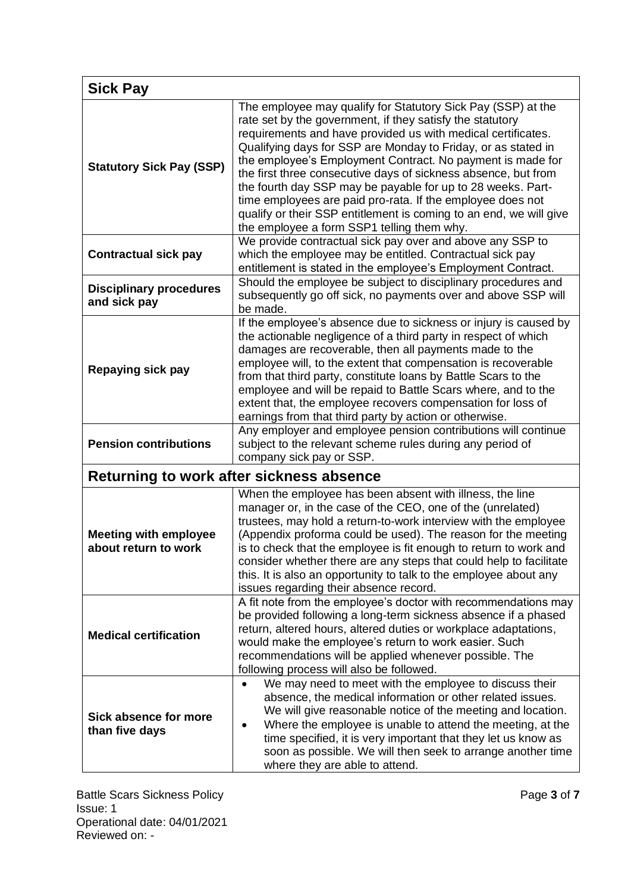| <b>Sick Pay</b>                                      |                                                                                                                                                                                                                                                                                                                                                                                                                                                                                                                                                                                                                                             |  |  |  |  |
|------------------------------------------------------|---------------------------------------------------------------------------------------------------------------------------------------------------------------------------------------------------------------------------------------------------------------------------------------------------------------------------------------------------------------------------------------------------------------------------------------------------------------------------------------------------------------------------------------------------------------------------------------------------------------------------------------------|--|--|--|--|
| <b>Statutory Sick Pay (SSP)</b>                      | The employee may qualify for Statutory Sick Pay (SSP) at the<br>rate set by the government, if they satisfy the statutory<br>requirements and have provided us with medical certificates.<br>Qualifying days for SSP are Monday to Friday, or as stated in<br>the employee's Employment Contract. No payment is made for<br>the first three consecutive days of sickness absence, but from<br>the fourth day SSP may be payable for up to 28 weeks. Part-<br>time employees are paid pro-rata. If the employee does not<br>qualify or their SSP entitlement is coming to an end, we will give<br>the employee a form SSP1 telling them why. |  |  |  |  |
| <b>Contractual sick pay</b>                          | We provide contractual sick pay over and above any SSP to<br>which the employee may be entitled. Contractual sick pay<br>entitlement is stated in the employee's Employment Contract.                                                                                                                                                                                                                                                                                                                                                                                                                                                       |  |  |  |  |
| <b>Disciplinary procedures</b><br>and sick pay       | Should the employee be subject to disciplinary procedures and<br>subsequently go off sick, no payments over and above SSP will<br>be made.                                                                                                                                                                                                                                                                                                                                                                                                                                                                                                  |  |  |  |  |
| Repaying sick pay                                    | If the employee's absence due to sickness or injury is caused by<br>the actionable negligence of a third party in respect of which<br>damages are recoverable, then all payments made to the<br>employee will, to the extent that compensation is recoverable<br>from that third party, constitute loans by Battle Scars to the<br>employee and will be repaid to Battle Scars where, and to the<br>extent that, the employee recovers compensation for loss of<br>earnings from that third party by action or otherwise.                                                                                                                   |  |  |  |  |
| <b>Pension contributions</b>                         | Any employer and employee pension contributions will continue<br>subject to the relevant scheme rules during any period of<br>company sick pay or SSP.                                                                                                                                                                                                                                                                                                                                                                                                                                                                                      |  |  |  |  |
|                                                      | Returning to work after sickness absence                                                                                                                                                                                                                                                                                                                                                                                                                                                                                                                                                                                                    |  |  |  |  |
| <b>Meeting with employee</b><br>about return to work | When the employee has been absent with illness, the line<br>manager or, in the case of the CEO, one of the (unrelated)<br>trustees, may hold a return-to-work interview with the employee<br>(Appendix proforma could be used). The reason for the meeting<br>is to check that the employee is fit enough to return to work and<br>consider whether there are any steps that could help to facilitate<br>this. It is also an opportunity to talk to the employee about any<br>issues regarding their absence record.                                                                                                                        |  |  |  |  |
| <b>Medical certification</b>                         | A fit note from the employee's doctor with recommendations may<br>be provided following a long-term sickness absence if a phased<br>return, altered hours, altered duties or workplace adaptations,<br>would make the employee's return to work easier. Such<br>recommendations will be applied whenever possible. The<br>following process will also be followed.                                                                                                                                                                                                                                                                          |  |  |  |  |
| Sick absence for more<br>than five days              | We may need to meet with the employee to discuss their<br>absence, the medical information or other related issues.<br>We will give reasonable notice of the meeting and location.<br>Where the employee is unable to attend the meeting, at the<br>time specified, it is very important that they let us know as<br>soon as possible. We will then seek to arrange another time<br>where they are able to attend.                                                                                                                                                                                                                          |  |  |  |  |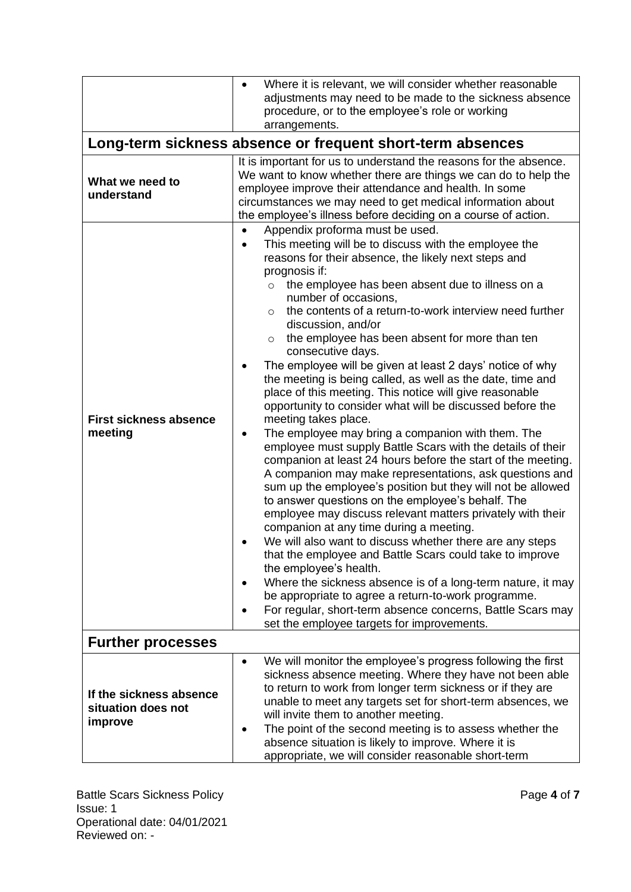|                                                            | Where it is relevant, we will consider whether reasonable<br>$\bullet$<br>adjustments may need to be made to the sickness absence<br>procedure, or to the employee's role or working<br>arrangements.                                                                                                                                                                                                                                                                                                                                                                                                                                                                                                                                                                                                                                                                                                                                                                                                                                                                                                                                                                                                                                                                                                                                                                                                                                                                                                                                                                                                                 |  |  |  |  |  |  |
|------------------------------------------------------------|-----------------------------------------------------------------------------------------------------------------------------------------------------------------------------------------------------------------------------------------------------------------------------------------------------------------------------------------------------------------------------------------------------------------------------------------------------------------------------------------------------------------------------------------------------------------------------------------------------------------------------------------------------------------------------------------------------------------------------------------------------------------------------------------------------------------------------------------------------------------------------------------------------------------------------------------------------------------------------------------------------------------------------------------------------------------------------------------------------------------------------------------------------------------------------------------------------------------------------------------------------------------------------------------------------------------------------------------------------------------------------------------------------------------------------------------------------------------------------------------------------------------------------------------------------------------------------------------------------------------------|--|--|--|--|--|--|
| Long-term sickness absence or frequent short-term absences |                                                                                                                                                                                                                                                                                                                                                                                                                                                                                                                                                                                                                                                                                                                                                                                                                                                                                                                                                                                                                                                                                                                                                                                                                                                                                                                                                                                                                                                                                                                                                                                                                       |  |  |  |  |  |  |
| What we need to<br>understand                              | It is important for us to understand the reasons for the absence.<br>We want to know whether there are things we can do to help the<br>employee improve their attendance and health. In some<br>circumstances we may need to get medical information about<br>the employee's illness before deciding on a course of action.                                                                                                                                                                                                                                                                                                                                                                                                                                                                                                                                                                                                                                                                                                                                                                                                                                                                                                                                                                                                                                                                                                                                                                                                                                                                                           |  |  |  |  |  |  |
| <b>First sickness absence</b><br>meeting                   | Appendix proforma must be used.<br>$\bullet$<br>This meeting will be to discuss with the employee the<br>$\bullet$<br>reasons for their absence, the likely next steps and<br>prognosis if:<br>the employee has been absent due to illness on a<br>$\circ$<br>number of occasions,<br>the contents of a return-to-work interview need further<br>$\circ$<br>discussion, and/or<br>the employee has been absent for more than ten<br>$\circ$<br>consecutive days.<br>The employee will be given at least 2 days' notice of why<br>٠<br>the meeting is being called, as well as the date, time and<br>place of this meeting. This notice will give reasonable<br>opportunity to consider what will be discussed before the<br>meeting takes place.<br>The employee may bring a companion with them. The<br>٠<br>employee must supply Battle Scars with the details of their<br>companion at least 24 hours before the start of the meeting.<br>A companion may make representations, ask questions and<br>sum up the employee's position but they will not be allowed<br>to answer questions on the employee's behalf. The<br>employee may discuss relevant matters privately with their<br>companion at any time during a meeting.<br>We will also want to discuss whether there are any steps<br>that the employee and Battle Scars could take to improve<br>the employee's health.<br>Where the sickness absence is of a long-term nature, it may<br>be appropriate to agree a return-to-work programme.<br>For regular, short-term absence concerns, Battle Scars may<br>set the employee targets for improvements. |  |  |  |  |  |  |
| <b>Further processes</b>                                   |                                                                                                                                                                                                                                                                                                                                                                                                                                                                                                                                                                                                                                                                                                                                                                                                                                                                                                                                                                                                                                                                                                                                                                                                                                                                                                                                                                                                                                                                                                                                                                                                                       |  |  |  |  |  |  |
| If the sickness absence<br>situation does not<br>improve   | We will monitor the employee's progress following the first<br>$\bullet$<br>sickness absence meeting. Where they have not been able<br>to return to work from longer term sickness or if they are<br>unable to meet any targets set for short-term absences, we<br>will invite them to another meeting.<br>The point of the second meeting is to assess whether the<br>absence situation is likely to improve. Where it is<br>appropriate, we will consider reasonable short-term                                                                                                                                                                                                                                                                                                                                                                                                                                                                                                                                                                                                                                                                                                                                                                                                                                                                                                                                                                                                                                                                                                                                     |  |  |  |  |  |  |

Battle Scars Sickness Policy **Page 4** of **7 Page 4** of **7** Issue: 1 Operational date: 04/01/2021 Reviewed on: -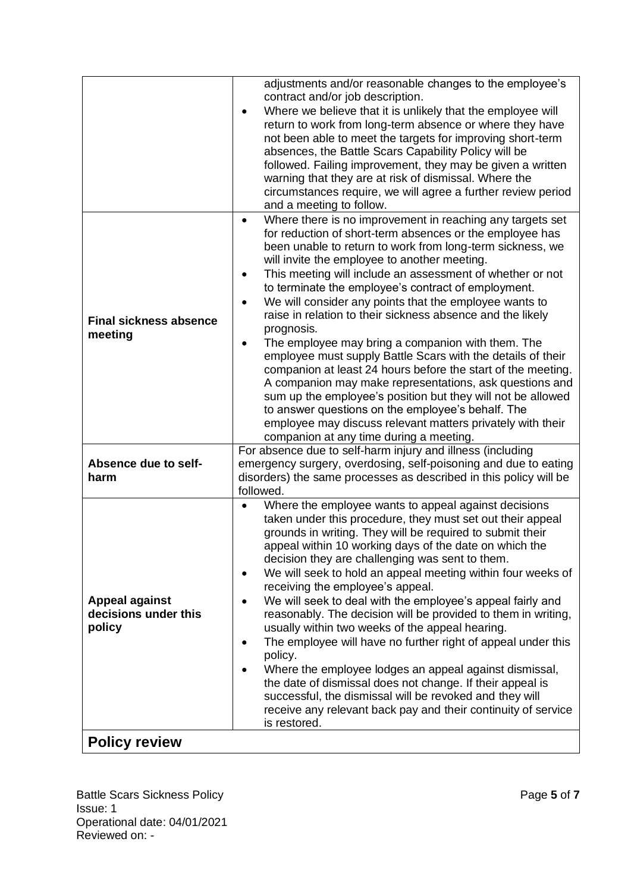|                                                         | adjustments and/or reasonable changes to the employee's                                                                                                                                                                                                                                                                                                                                                                                                                                                                                                                                                                                                                                                                                                                                                                                                                                                                                                                                                                      |  |  |  |  |
|---------------------------------------------------------|------------------------------------------------------------------------------------------------------------------------------------------------------------------------------------------------------------------------------------------------------------------------------------------------------------------------------------------------------------------------------------------------------------------------------------------------------------------------------------------------------------------------------------------------------------------------------------------------------------------------------------------------------------------------------------------------------------------------------------------------------------------------------------------------------------------------------------------------------------------------------------------------------------------------------------------------------------------------------------------------------------------------------|--|--|--|--|
|                                                         | contract and/or job description.<br>Where we believe that it is unlikely that the employee will<br>$\bullet$<br>return to work from long-term absence or where they have<br>not been able to meet the targets for improving short-term<br>absences, the Battle Scars Capability Policy will be<br>followed. Failing improvement, they may be given a written<br>warning that they are at risk of dismissal. Where the<br>circumstances require, we will agree a further review period<br>and a meeting to follow.                                                                                                                                                                                                                                                                                                                                                                                                                                                                                                            |  |  |  |  |
| <b>Final sickness absence</b><br>meeting                | Where there is no improvement in reaching any targets set<br>$\bullet$<br>for reduction of short-term absences or the employee has<br>been unable to return to work from long-term sickness, we<br>will invite the employee to another meeting.<br>This meeting will include an assessment of whether or not<br>$\bullet$<br>to terminate the employee's contract of employment.<br>We will consider any points that the employee wants to<br>$\bullet$<br>raise in relation to their sickness absence and the likely<br>prognosis.<br>The employee may bring a companion with them. The<br>$\bullet$<br>employee must supply Battle Scars with the details of their<br>companion at least 24 hours before the start of the meeting.<br>A companion may make representations, ask questions and<br>sum up the employee's position but they will not be allowed<br>to answer questions on the employee's behalf. The<br>employee may discuss relevant matters privately with their<br>companion at any time during a meeting. |  |  |  |  |
| Absence due to self-<br>harm                            | For absence due to self-harm injury and illness (including<br>emergency surgery, overdosing, self-poisoning and due to eating<br>disorders) the same processes as described in this policy will be<br>followed.                                                                                                                                                                                                                                                                                                                                                                                                                                                                                                                                                                                                                                                                                                                                                                                                              |  |  |  |  |
| <b>Appeal against</b><br>decisions under this<br>policy | Where the employee wants to appeal against decisions<br>$\bullet$<br>taken under this procedure, they must set out their appeal<br>grounds in writing. They will be required to submit their<br>appeal within 10 working days of the date on which the<br>decision they are challenging was sent to them.<br>We will seek to hold an appeal meeting within four weeks of<br>٠<br>receiving the employee's appeal.<br>We will seek to deal with the employee's appeal fairly and<br>$\bullet$<br>reasonably. The decision will be provided to them in writing,<br>usually within two weeks of the appeal hearing.<br>The employee will have no further right of appeal under this<br>$\bullet$<br>policy.<br>Where the employee lodges an appeal against dismissal,<br>$\bullet$<br>the date of dismissal does not change. If their appeal is<br>successful, the dismissal will be revoked and they will<br>receive any relevant back pay and their continuity of service<br>is restored.                                     |  |  |  |  |
| <b>Policy review</b>                                    |                                                                                                                                                                                                                                                                                                                                                                                                                                                                                                                                                                                                                                                                                                                                                                                                                                                                                                                                                                                                                              |  |  |  |  |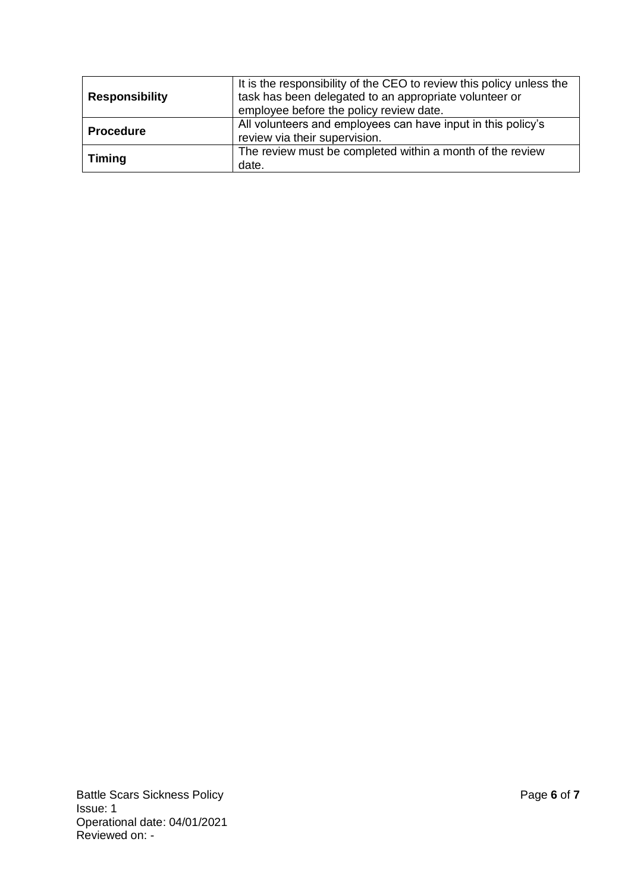| <b>Responsibility</b> | It is the responsibility of the CEO to review this policy unless the<br>task has been delegated to an appropriate volunteer or<br>employee before the policy review date. |
|-----------------------|---------------------------------------------------------------------------------------------------------------------------------------------------------------------------|
| <b>Procedure</b>      | All volunteers and employees can have input in this policy's<br>review via their supervision.                                                                             |
| <b>Timing</b>         | The review must be completed within a month of the review<br>date.                                                                                                        |